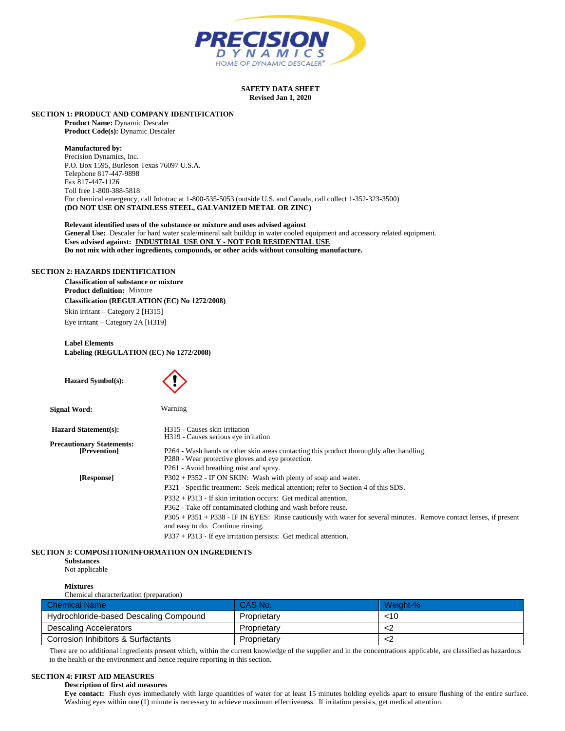

## **SAFETY DATA SHEET Revised Jan 1, 2020**

# **SECTION 1: PRODUCT AND COMPANY IDENTIFICATION**

**Product Name:** Dynamic Descaler **Product Code(s):** Dynamic Descaler

## **Manufactured by:**

Precision Dynamics, Inc. P.O. Box 1595, Burleson Texas 76097 U.S.A. Telephone 817-447-9898 Fax 817-447-1126 Toll free 1-800-388-5818 For chemical emergency, call Infotrac at 1-800-535-5053 (outside U.S. and Canada, call collect 1-352-323-3500) **(DO NOT USE ON STAINLESS STEEL, GALVANIZED METAL OR ZINC)**

**Relevant identified uses of the substance or mixture and uses advised against General Use:** Descaler for hard water scale/mineral salt buildup in water cooled equipment and accessory related equipment. **Uses advised against: INDUSTRIAL USE ONLY - NOT FOR RESIDENTIAL USE Do not mix with other ingredients, compounds, or other acids without consulting manufacture.** 

# **SECTION 2: HAZARDS IDENTIFICATION**

**Classification of substance or mixture Product definition:** Mixture **Classification (REGULATION (EC) No 1272/2008)** Skin irritant – Category 2 [H315] Eye irritant – Category 2A [H319]

**Label Elements Labeling (REGULATION (EC) No 1272/2008)**

| <b>Hazard Symbol(s):</b>                         |                                                                                                                                                                                       |
|--------------------------------------------------|---------------------------------------------------------------------------------------------------------------------------------------------------------------------------------------|
| <b>Signal Word:</b>                              | Warning                                                                                                                                                                               |
| <b>Hazard Statement(s):</b>                      | H315 - Causes skin irritation                                                                                                                                                         |
| <b>Precautionary Statements:</b><br>[Prevention] | H319 - Causes serious eye irritation<br>P264 - Wash hands or other skin areas contacting this product thoroughly after handling.<br>P280 - Wear protective gloves and eye protection. |
|                                                  | P261 - Avoid breathing mist and spray.                                                                                                                                                |
| [Response]                                       | $P302 + P352$ - IF ON SKIN: Wash with plenty of soap and water.                                                                                                                       |
|                                                  | P321 - Specific treatment: Seek medical attention; refer to Section 4 of this SDS.                                                                                                    |
|                                                  | $P332 + P313$ - If skin irritation occurs: Get medical attention.                                                                                                                     |
|                                                  | P362 - Take off contaminated clothing and wash before reuse.                                                                                                                          |
|                                                  | P305 + P351 + P338 - IF IN EYES: Rinse cautiously with water for several minutes. Remove contact lenses, if present<br>and easy to do. Continue rinsing.                              |
|                                                  | $P337 + P313$ - If eve irritation persists: Get medical attention.                                                                                                                    |

# **SECTION 3: COMPOSITION/INFORMATION ON INGREDIENTS**

**Substances** Not applicable

#### **Mixtures** Chemical characterization (preparation)

| Chemical Name                          | CAS No.     | Weight-% |
|----------------------------------------|-------------|----------|
| Hydrochloride-based Descaling Compound | Proprietary | <10      |
| Descaling Accelerators                 | Proprietary |          |
| Corrosion Inhibitors & Surfactants     | Proprietary |          |

There are no additional ingredients present which, within the current knowledge of the supplier and in the concentrations applicable, are classified as hazardous to the health or the environment and hence require reporting in this section.

# **SECTION 4: FIRST AID MEASURES**

# **Description of first aid measures**

**Eye contact:** Flush eyes immediately with large quantities of water for at least 15 minutes holding eyelids apart to ensure flushing of the entire surface. Washing eyes within one (1) minute is necessary to achieve maximum effectiveness. If irritation persists, get medical attention.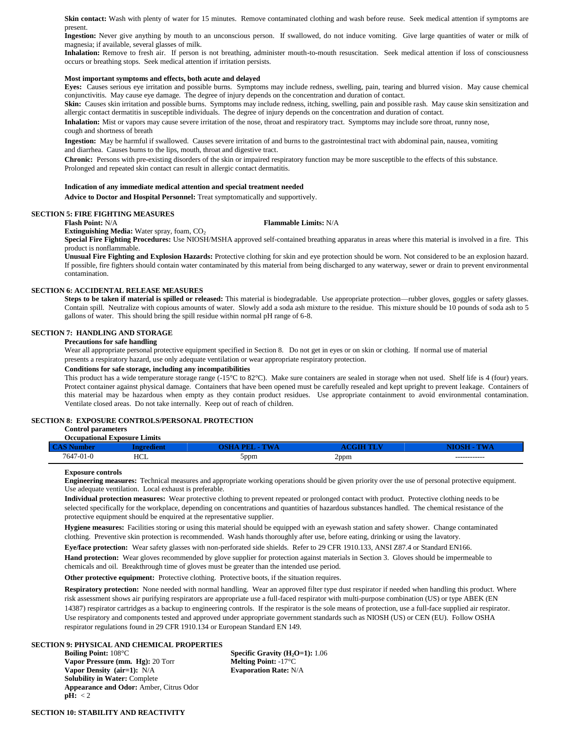Skin contact: Wash with plenty of water for 15 minutes. Remove contaminated clothing and wash before reuse. Seek medical attention if symptoms are present.

**Ingestion:** Never give anything by mouth to an unconscious person. If swallowed, do not induce vomiting. Give large quantities of water or milk of magnesia; if available, several glasses of milk.

**Inhalation:** Remove to fresh air. If person is not breathing, administer mouth-to-mouth resuscitation. Seek medical attention if loss of consciousness occurs or breathing stops. Seek medical attention if irritation persists.

# **Most important symptoms and effects, both acute and delayed**

**Eyes:** Causes serious eye irritation and possible burns. Symptoms may include redness, swelling, pain, tearing and blurred vision. May cause chemical conjunctivitis. May cause eye damage. The degree of injury depends on the concentration and duration of contact.

Skin: Causes skin irritation and possible burns. Symptoms may include redness, itching, swelling, pain and possible rash. May cause skin sensitization and allergic contact dermatitis in susceptible individuals. The degree of injury depends on the concentration and duration of contact.

Inhalation: Mist or vapors may cause severe irritation of the nose, throat and respiratory tract. Symptoms may include sore throat, runny nose, cough and shortness of breath

**Ingestion:** May be harmful if swallowed. Causes severe irritation of and burns to the gastrointestinal tract with abdominal pain, nausea, vomiting and diarrhea. Causes burns to the lips, mouth, throat and digestive tract.

**Chronic:** Persons with pre-existing disorders of the skin or impaired respiratory function may be more susceptible to the effects of this substance. Prolonged and repeated skin contact can result in allergic contact dermatitis.

## **Indication of any immediate medical attention and special treatment needed**

**Advice to Doctor and Hospital Personnel:** Treat symptomatically and supportively.

# **SECTION 5: FIRE FIGHTING MEASURES**<br>Flash Point: N/A

#### **Flash Point:** N/A **Flammable Limits:** N/A

**Extinguishing Media:** Water spray, foam, CO<sub>2</sub>

**Special Fire Fighting Procedures:** Use NIOSH/MSHA approved self-contained breathing apparatus in areas where this material is involved in a fire. This product is nonflammable.

**Unusual Fire Fighting and Explosion Hazards:** Protective clothing for skin and eye protection should be worn. Not considered to be an explosion hazard. If possible, fire fighters should contain water contaminated by this material from being discharged to any waterway, sewer or drain to prevent environmental contamination.

#### **SECTION 6: ACCIDENTAL RELEASE MEASURES**

**Steps to be taken if material is spilled or released:** This material is biodegradable. Use appropriate protection—rubber gloves, goggles or safety glasses. Contain spill. Neutralize with copious amounts of water. Slowly add a soda ash mixture to the residue. This mixture should be 10 pounds of soda ash to 5 gallons of water. This should bring the spill residue within normal pH range of 6-8.

# **SECTION 7: HANDLING AND STORAGE**

# **Precautions for safe handling**

Wear all appropriate personal protective equipment specified in Section 8. Do not get in eyes or on skin or clothing. If normal use of material

presents a respiratory hazard, use only adequate ventilation or wear appropriate respiratory protection.

# **Conditions for safe storage, including any incompatibilities**

This product has a wide temperature storage range (-15°C to 82°C). Make sure containers are sealed in storage when not used. Shelf life is 4 (four) years. Protect container against physical damage. Containers that have been opened must be carefully resealed and kept upright to prevent leakage. Containers of this material may be hazardous when empty as they contain product residues. Use appropriate containment to avoid environmental contamination. Ventilate closed areas. Do not take internally. Keep out of reach of children.

# **SECTION 8: EXPOSURE CONTROLS/PERSONAL PROTECTION**

#### **Control parameters Occupational Exposure Limits**

|           | Occupational exposure limits |     |      |              |
|-----------|------------------------------|-----|------|--------------|
|           |                              |     |      |              |
| 7647-01-0 | HCL                          | ppm | 2ppm | ------------ |

#### **Exposure controls**

**Engineering measures:** Technical measures and appropriate working operations should be given priority over the use of personal protective equipment. Use adequate ventilation. Local exhaust is preferable.

**Individual protection measures:** Wear protective clothing to prevent repeated or prolonged contact with product. Protective clothing needs to be selected specifically for the workplace, depending on concentrations and quantities of hazardous substances handled. The chemical resistance of the protective equipment should be enquired at the representative supplier.

**Hygiene measures:** Facilities storing or using this material should be equipped with an eyewash station and safety shower. Change contaminated clothing. Preventive skin protection is recommended. Wash hands thoroughly after use, before eating, drinking or using the lavatory.

**Eye/face protection:** Wear safety glasses with non-perforated side shields. Refer to 29 CFR 1910.133, ANSI Z87.4 or Standard EN166. **Hand protection:** Wear gloves recommended by glove supplier for protection against materials in Section 3. Gloves should be impermeable to chemicals and oil. Breakthrough time of gloves must be greater than the intended use period.

Other protective equipment: Protective clothing. Protective boots, if the situation requires.

**Respiratory protection:** None needed with normal handling. Wear an approved filter type dust respirator if needed when handling this product. Where risk assessment shows air purifying respirators are appropriate use a full-faced respirator with multi-purpose combination (US) or type ABEK (EN 14387) respirator cartridges as a backup to engineering controls. If the respirator is the sole means of protection, use a full-face supplied air respirator. Use respiratory and components tested and approved under appropriate government standards such as NIOSH (US) or CEN (EU). Follow OSHA respirator regulations found in 29 CFR 1910.134 or European Standard EN 149.

# **SECTION 9: PHYSICAL AND CHEMICAL PROPERTIES**

**Vapor Pressure (mm. Hg):** 20 Torr **Melting Point:** -17°C **Vapor Density (air=1):** N/A **Evaporation Rate:** N/A **Solubility in Water:** Complete **Appearance and Odor:** Amber, Citrus Odor  $\mathbf{pH:} < 2$ 

**Specific Gravity (H<sub>2</sub>O=1):** 1.06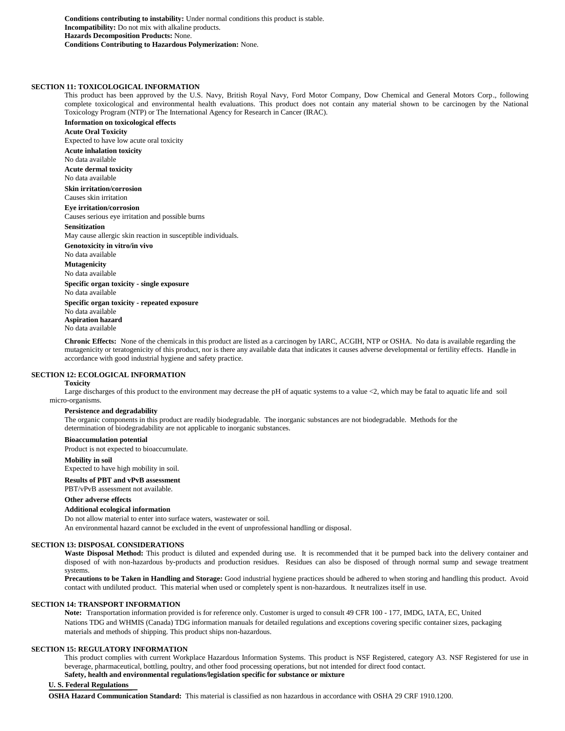**Conditions contributing to instability:** Under normal conditions this product is stable. **Incompatibility:** Do not mix with alkaline products. **Hazards Decomposition Products:** None. **Conditions Contributing to Hazardous Polymerization:** None.

#### **SECTION 11: TOXICOLOGICAL INFORMATION**

This product has been approved by the U.S. Navy, British Royal Navy, Ford Motor Company, Dow Chemical and General Motors Corp., following complete toxicological and environmental health evaluations. This product does not contain any material shown to be carcinogen by the National Toxicology Program (NTP) or The International Agency for Research in Cancer (IRAC).

**Information on toxicological effects Acute Oral Toxicity** Expected to have low acute oral toxicity **Acute inhalation toxicity** No data available **Acute dermal toxicity** No data available **Skin irritation/corrosion** Causes skin irritation **Eye irritation/corrosion** Causes serious eye irritation and possible burns **Sensitization** May cause allergic skin reaction in susceptible individuals. **Genotoxicity in vitro/in vivo** No data available **Mutagenicity** No data available **Specific organ toxicity - single exposure** No data available **Specific organ toxicity - repeated exposure** No data available **Aspiration hazard** No data available

**Chronic Effects:** None of the chemicals in this product are listed as a carcinogen by IARC, ACGIH, NTP or OSHA. No data is available regarding the mutagenicity or teratogenicity of this product, nor is there any available data that indicates it causes adverse developmental or fertility effects. Handle in accordance with good industrial hygiene and safety practice.

## **SECTION 12: ECOLOGICAL INFORMATION**

#### **Toxicity**

Large discharges of this product to the environment may decrease the pH of aquatic systems to a value <2, which may be fatal to aquatic life and soil micro-organisms.

# **Persistence and degradability**

The organic components in this product are readily biodegradable. The inorganic substances are not biodegradable. Methods for the determination of biodegradability are not applicable to inorganic substances.

#### **Bioaccumulation potential**

Product is not expected to bioaccumulate.

#### **Mobility in soil**

Expected to have high mobility in soil.

#### **Results of PBT and vPvB assessment**

PBT/vPvB assessment not available.

#### **Other adverse effects**

#### **Additional ecological information**

Do not allow material to enter into surface waters, wastewater or soil. An environmental hazard cannot be excluded in the event of unprofessional handling or disposal.

#### **SECTION 13: DISPOSAL CONSIDERATIONS**

Waste Disposal Method: This product is diluted and expended during use. It is recommended that it be pumped back into the delivery container and disposed of with non-hazardous by-products and production residues. Residues can also be disposed of through normal sump and sewage treatment systems.

**Precautions to be Taken in Handling and Storage:** Good industrial hygiene practices should be adhered to when storing and handling this product. Avoid contact with undiluted product. This material when used or completely spent is non-hazardous. It neutralizes itself in use.

# **SECTION 14: TRANSPORT INFORMATION**

**Note:** Transportation information provided is for reference only. Customer is urged to consult 49 CFR 100 - 177, IMDG, IATA, EC, United Nations TDG and WHMIS (Canada) TDG information manuals for detailed regulations and exceptions covering specific container sizes, packaging materials and methods of shipping. This product ships non-hazardous.

#### **SECTION 15: REGULATORY INFORMATION**

This product complies with current Workplace Hazardous Information Systems. This product is NSF Registered, category A3. NSF Registered for use in beverage, pharmaceutical, bottling, poultry, and other food processing operations, but not intended for direct food contact.

# **Safety, health and environmental regulations/legislation specific for substance or mixture**

# **U. S. Federal Regulations**

**OSHA Hazard Communication Standard:** This material is classified as non hazardous in accordance with OSHA 29 CRF 1910.1200.